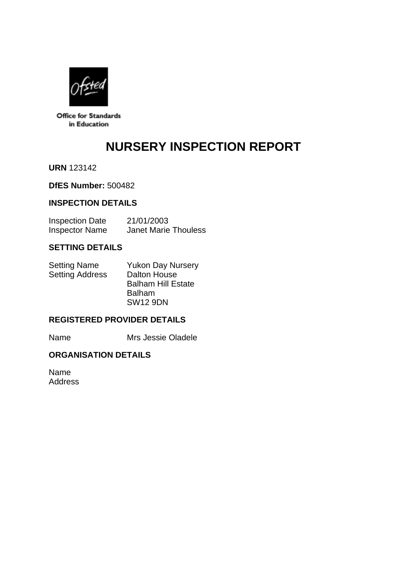

Office for Standards in Education

# **NURSERY INSPECTION REPORT**

**URN** 123142

## **DfES Number:** 500482

## **INSPECTION DETAILS**

Inspection Date 21/01/2003<br>Inspector Name Janet Marie **Janet Marie Thouless** 

## **SETTING DETAILS**

| <b>Setting Name</b>    | <b>Yukon Day Nursery</b>  |
|------------------------|---------------------------|
| <b>Setting Address</b> | <b>Dalton House</b>       |
|                        | <b>Balham Hill Estate</b> |
|                        | <b>Balham</b>             |
|                        | <b>SW12 9DN</b>           |

## **REGISTERED PROVIDER DETAILS**

Name Mrs Jessie Oladele

#### **ORGANISATION DETAILS**

Name Address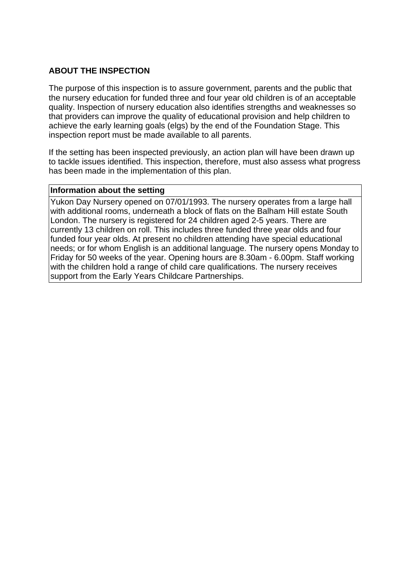# **ABOUT THE INSPECTION**

The purpose of this inspection is to assure government, parents and the public that the nursery education for funded three and four year old children is of an acceptable quality. Inspection of nursery education also identifies strengths and weaknesses so that providers can improve the quality of educational provision and help children to achieve the early learning goals (elgs) by the end of the Foundation Stage. This inspection report must be made available to all parents.

If the setting has been inspected previously, an action plan will have been drawn up to tackle issues identified. This inspection, therefore, must also assess what progress has been made in the implementation of this plan.

#### **Information about the setting**

Yukon Day Nursery opened on 07/01/1993. The nursery operates from a large hall with additional rooms, underneath a block of flats on the Balham Hill estate South London. The nursery is registered for 24 children aged 2-5 years. There are currently 13 children on roll. This includes three funded three year olds and four funded four year olds. At present no children attending have special educational needs; or for whom English is an additional language. The nursery opens Monday to Friday for 50 weeks of the year. Opening hours are 8.30am - 6.00pm. Staff working with the children hold a range of child care qualifications. The nursery receives support from the Early Years Childcare Partnerships.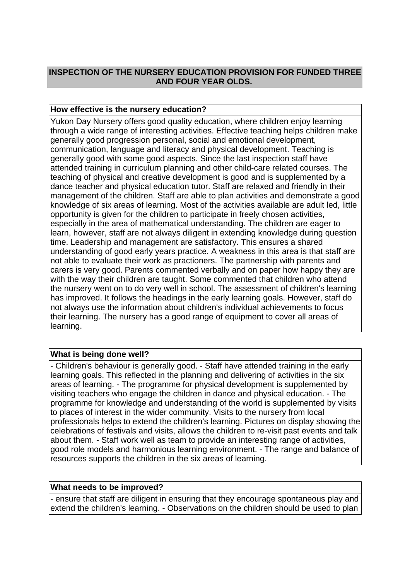## **INSPECTION OF THE NURSERY EDUCATION PROVISION FOR FUNDED THREE AND FOUR YEAR OLDS.**

## **How effective is the nursery education?**

Yukon Day Nursery offers good quality education, where children enjoy learning through a wide range of interesting activities. Effective teaching helps children make generally good progression personal, social and emotional development, communication, language and literacy and physical development. Teaching is generally good with some good aspects. Since the last inspection staff have attended training in curriculum planning and other child-care related courses. The teaching of physical and creative development is good and is supplemented by a dance teacher and physical education tutor. Staff are relaxed and friendly in their management of the children. Staff are able to plan activities and demonstrate a good knowledge of six areas of learning. Most of the activities available are adult led, little opportunity is given for the children to participate in freely chosen activities, especially in the area of mathematical understanding. The children are eager to learn, however, staff are not always diligent in extending knowledge during question time. Leadership and management are satisfactory. This ensures a shared understanding of good early years practice. A weakness in this area is that staff are not able to evaluate their work as practioners. The partnership with parents and carers is very good. Parents commented verbally and on paper how happy they are with the way their children are taught. Some commented that children who attend the nursery went on to do very well in school. The assessment of children's learning has improved. It follows the headings in the early learning goals. However, staff do not always use the information about children's individual achievements to focus their learning. The nursery has a good range of equipment to cover all areas of learning.

#### **What is being done well?**

- Children's behaviour is generally good. - Staff have attended training in the early learning goals. This reflected in the planning and delivering of activities in the six areas of learning. - The programme for physical development is supplemented by visiting teachers who engage the children in dance and physical education. - The programme for knowledge and understanding of the world is supplemented by visits to places of interest in the wider community. Visits to the nursery from local professionals helps to extend the children's learning. Pictures on display showing the celebrations of festivals and visits, allows the children to re-visit past events and talk about them. - Staff work well as team to provide an interesting range of activities, good role models and harmonious learning environment. - The range and balance of resources supports the children in the six areas of learning.

#### **What needs to be improved?**

- ensure that staff are diligent in ensuring that they encourage spontaneous play and extend the children's learning. - Observations on the children should be used to plan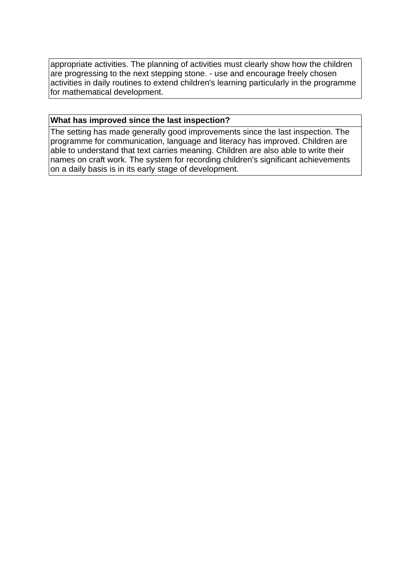appropriate activities. The planning of activities must clearly show how the children are progressing to the next stepping stone. - use and encourage freely chosen activities in daily routines to extend children's learning particularly in the programme for mathematical development.

## **What has improved since the last inspection?**

The setting has made generally good improvements since the last inspection. The programme for communication, language and literacy has improved. Children are able to understand that text carries meaning. Children are also able to write their names on craft work. The system for recording children's significant achievements on a daily basis is in its early stage of development.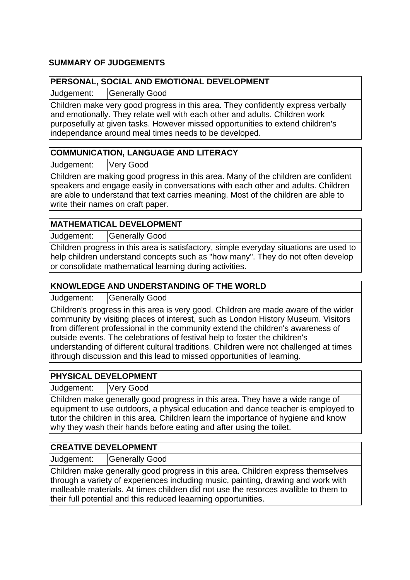# **SUMMARY OF JUDGEMENTS**

#### **PERSONAL, SOCIAL AND EMOTIONAL DEVELOPMENT**

Judgement: | Generally Good

Children make very good progress in this area. They confidently express verbally and emotionally. They relate well with each other and adults. Children work purposefully at given tasks. However missed opportunities to extend children's independance around meal times needs to be developed.

# **COMMUNICATION, LANGUAGE AND LITERACY**

Judgement: Very Good

Children are making good progress in this area. Many of the children are confident speakers and engage easily in conversations with each other and adults. Children are able to understand that text carries meaning. Most of the children are able to write their names on craft paper.

## **MATHEMATICAL DEVELOPMENT**

Judgement: | Generally Good

Children progress in this area is satisfactory, simple everyday situations are used to help children understand concepts such as "how many". They do not often develop or consolidate mathematical learning during activities.

#### **KNOWLEDGE AND UNDERSTANDING OF THE WORLD**

Judgement: Generally Good

Children's progress in this area is very good. Children are made aware of the wider community by visiting places of interest, such as London History Museum. Visitors from different professional in the community extend the children's awareness of outside events. The celebrations of festival help to foster the children's understanding of different cultural traditions. Children were not challenged at times ithrough discussion and this lead to missed opportunities of learning.

# **PHYSICAL DEVELOPMENT**

Judgement: Very Good

Children make generally good progress in this area. They have a wide range of equipment to use outdoors, a physical education and dance teacher is employed to tutor the children in this area. Children learn the importance of hygiene and know why they wash their hands before eating and after using the toilet.

# **CREATIVE DEVELOPMENT**

Judgement: | Generally Good

Children make generally good progress in this area. Children express themselves through a variety of experiences including music, painting, drawing and work with malleable materials. At times children did not use the resorces avalible to them to their full potential and this reduced leaarning opportunities.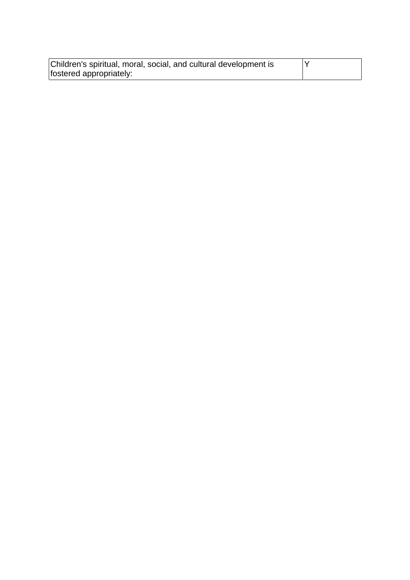| Children's spiritual, moral, social, and cultural development is |  |
|------------------------------------------------------------------|--|
| fostered appropriately:                                          |  |